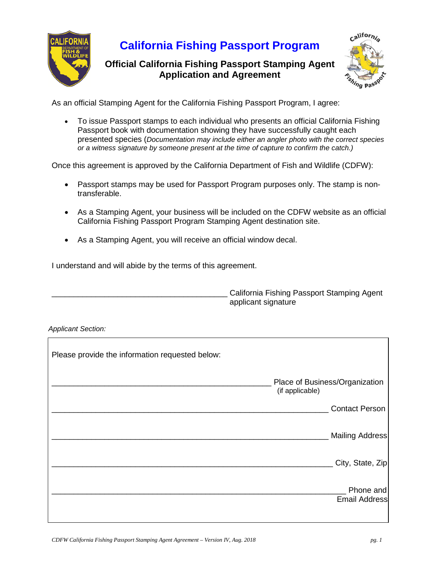

## **California Fishing Passport Program**

**Official California Fishing Passport Stamping Agent Application and Agreement**



As an official Stamping Agent for the California Fishing Passport Program, I agree:

• To issue Passport stamps to each individual who presents an official California Fishing Passport book with documentation showing they have successfully caught each presented species (*Documentation may include either an angler photo with the correct species or a witness signature by someone present at the time of capture to confirm the catch.)*

Once this agreement is approved by the California Department of Fish and Wildlife (CDFW):

- Passport stamps may be used for Passport Program purposes only. The stamp is nontransferable.
- As a Stamping Agent, your business will be included on the CDFW website as an official California Fishing Passport Program Stamping Agent destination site.
- As a Stamping Agent, you will receive an official window decal.

I understand and will abide by the terms of this agreement.

California Fishing Passport Stamping Agent applicant signature

*Applicant Section:*

| Please provide the information requested below: |                                                   |
|-------------------------------------------------|---------------------------------------------------|
|                                                 | Place of Business/Organization<br>(if applicable) |
|                                                 | <b>Contact Person</b>                             |
|                                                 | Mailing Address                                   |
|                                                 | City, State, Zip                                  |
|                                                 | Phone and<br><b>Email Address</b>                 |